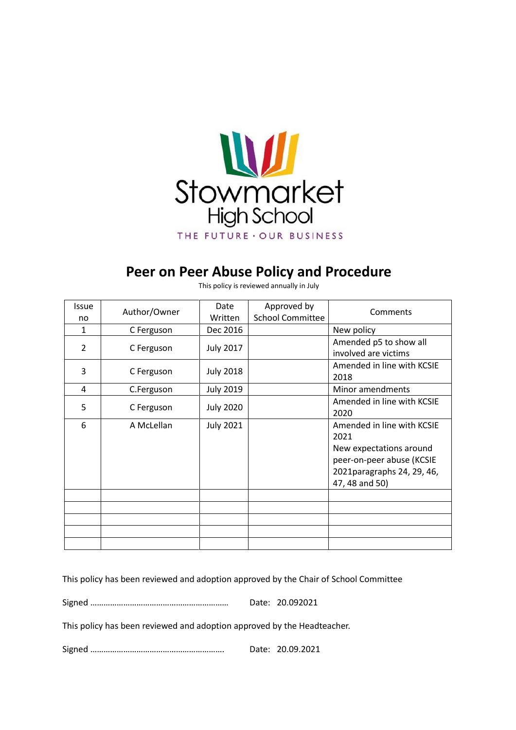

# **Peer on Peer Abuse Policy and Procedure**

| <b>Issue</b> | Author/Owner | Date             | Approved by             | Comments                                                                                                                                    |
|--------------|--------------|------------------|-------------------------|---------------------------------------------------------------------------------------------------------------------------------------------|
| no           |              | Written          | <b>School Committee</b> |                                                                                                                                             |
| $\mathbf{1}$ | C Ferguson   | Dec 2016         |                         | New policy                                                                                                                                  |
| 2            | C Ferguson   | <b>July 2017</b> |                         | Amended p5 to show all                                                                                                                      |
|              |              |                  |                         | involved are victims                                                                                                                        |
| 3            | C Ferguson   | <b>July 2018</b> |                         | Amended in line with KCSIE<br>2018                                                                                                          |
| 4            | C.Ferguson   | <b>July 2019</b> |                         | Minor amendments                                                                                                                            |
| 5            | C Ferguson   | <b>July 2020</b> |                         | Amended in line with KCSIE<br>2020                                                                                                          |
| 6            | A McLellan   | <b>July 2021</b> |                         | Amended in line with KCSIE<br>2021<br>New expectations around<br>peer-on-peer abuse (KCSIE<br>2021 paragraphs 24, 29, 46,<br>47, 48 and 50) |
|              |              |                  |                         |                                                                                                                                             |
|              |              |                  |                         |                                                                                                                                             |

This policy is reviewed annually in July

This policy has been reviewed and adoption approved by the Chair of School Committee

Signed ……………………………………………………… Date: 20.092021

This policy has been reviewed and adoption approved by the Headteacher.

Signed ……………………………………………………. Date: 20.09.2021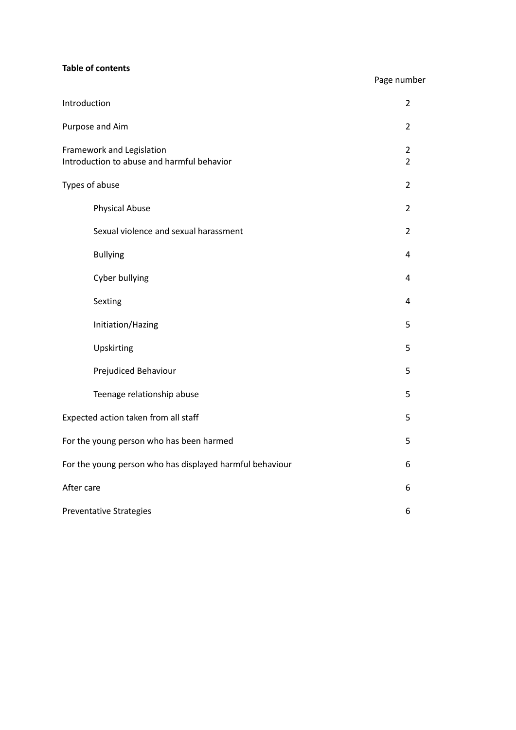# **Table of contents**

# Page number

| Introduction                                                            | $\overline{2}$ |  |
|-------------------------------------------------------------------------|----------------|--|
| Purpose and Aim                                                         |                |  |
| Framework and Legislation<br>Introduction to abuse and harmful behavior |                |  |
| Types of abuse                                                          |                |  |
| <b>Physical Abuse</b>                                                   | $\overline{2}$ |  |
| Sexual violence and sexual harassment                                   | $\overline{2}$ |  |
| <b>Bullying</b>                                                         | $\overline{4}$ |  |
| Cyber bullying                                                          | 4              |  |
| Sexting                                                                 | 4              |  |
| Initiation/Hazing                                                       | 5              |  |
| Upskirting                                                              | 5              |  |
| Prejudiced Behaviour                                                    | 5              |  |
| Teenage relationship abuse                                              | 5              |  |
| Expected action taken from all staff                                    |                |  |
| For the young person who has been harmed                                |                |  |
| For the young person who has displayed harmful behaviour                |                |  |
| After care                                                              |                |  |
| <b>Preventative Strategies</b>                                          |                |  |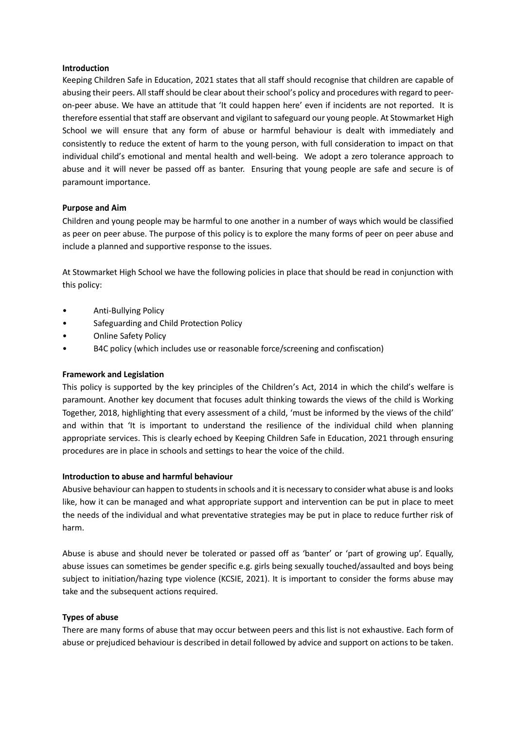#### **Introduction**

Keeping Children Safe in Education, 2021 states that all staff should recognise that children are capable of abusing their peers. All staff should be clear about their school's policy and procedures with regard to peeron-peer abuse. We have an attitude that 'It could happen here' even if incidents are not reported. It is therefore essential that staff are observant and vigilant to safeguard our young people. At Stowmarket High School we will ensure that any form of abuse or harmful behaviour is dealt with immediately and consistently to reduce the extent of harm to the young person, with full consideration to impact on that individual child's emotional and mental health and well-being. We adopt a zero tolerance approach to abuse and it will never be passed off as banter. Ensuring that young people are safe and secure is of paramount importance.

# **Purpose and Aim**

Children and young people may be harmful to one another in a number of ways which would be classified as peer on peer abuse. The purpose of this policy is to explore the many forms of peer on peer abuse and include a planned and supportive response to the issues.

At Stowmarket High School we have the following policies in place that should be read in conjunction with this policy:

- Anti-Bullying Policy
- Safeguarding and Child Protection Policy
- Online Safety Policy
- B4C policy (which includes use or reasonable force/screening and confiscation)

# **Framework and Legislation**

This policy is supported by the key principles of the Children's Act, 2014 in which the child's welfare is paramount. Another key document that focuses adult thinking towards the views of the child is Working Together, 2018, highlighting that every assessment of a child, 'must be informed by the views of the child' and within that 'It is important to understand the resilience of the individual child when planning appropriate services. This is clearly echoed by Keeping Children Safe in Education, 2021 through ensuring procedures are in place in schools and settings to hear the voice of the child.

# **Introduction to abuse and harmful behaviour**

Abusive behaviour can happen to students in schools and it is necessary to consider what abuse is and looks like, how it can be managed and what appropriate support and intervention can be put in place to meet the needs of the individual and what preventative strategies may be put in place to reduce further risk of harm.

Abuse is abuse and should never be tolerated or passed off as 'banter' or 'part of growing up'. Equally, abuse issues can sometimes be gender specific e.g. girls being sexually touched/assaulted and boys being subject to initiation/hazing type violence (KCSIE, 2021). It is important to consider the forms abuse may take and the subsequent actions required.

# **Types of abuse**

There are many forms of abuse that may occur between peers and this list is not exhaustive. Each form of abuse or prejudiced behaviour is described in detail followed by advice and support on actions to be taken.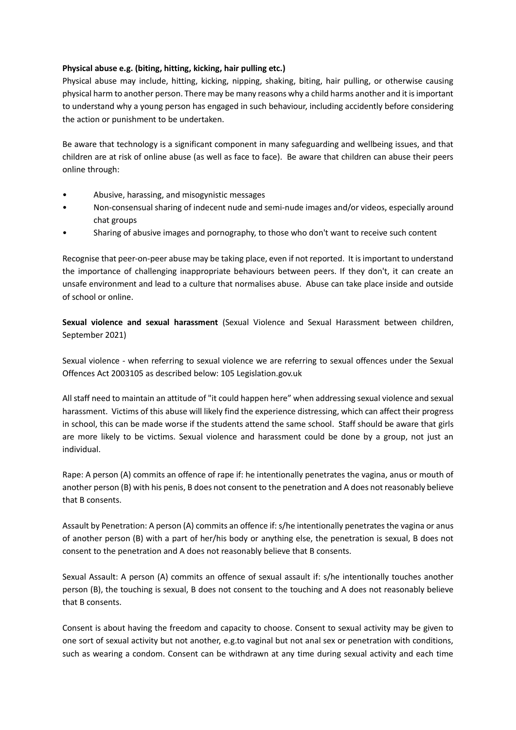# **Physical abuse e.g. (biting, hitting, kicking, hair pulling etc.)**

Physical abuse may include, hitting, kicking, nipping, shaking, biting, hair pulling, or otherwise causing physical harm to another person. There may be many reasons why a child harms another and it is important to understand why a young person has engaged in such behaviour, including accidently before considering the action or punishment to be undertaken.

Be aware that technology is a significant component in many safeguarding and wellbeing issues, and that children are at risk of online abuse (as well as face to face). Be aware that children can abuse their peers online through:

- Abusive, harassing, and misogynistic messages
- Non-consensual sharing of indecent nude and semi-nude images and/or videos, especially around chat groups
- Sharing of abusive images and pornography, to those who don't want to receive such content

Recognise that peer-on-peer abuse may be taking place, even if not reported. It is important to understand the importance of challenging inappropriate behaviours between peers. If they don't, it can create an unsafe environment and lead to a culture that normalises abuse. Abuse can take place inside and outside of school or online.

**Sexual violence and sexual harassment** (Sexual Violence and Sexual Harassment between children, September 2021)

Sexual violence - when referring to sexual violence we are referring to sexual offences under the Sexual Offences Act 2003105 as described below: 105 Legislation.gov.uk

All staff need to maintain an attitude of "it could happen here" when addressing sexual violence and sexual harassment. Victims of this abuse will likely find the experience distressing, which can affect their progress in school, this can be made worse if the students attend the same school. Staff should be aware that girls are more likely to be victims. Sexual violence and harassment could be done by a group, not just an individual.

Rape: A person (A) commits an offence of rape if: he intentionally penetrates the vagina, anus or mouth of another person (B) with his penis, B does not consent to the penetration and A does not reasonably believe that B consents.

Assault by Penetration: A person (A) commits an offence if: s/he intentionally penetrates the vagina or anus of another person (B) with a part of her/his body or anything else, the penetration is sexual, B does not consent to the penetration and A does not reasonably believe that B consents.

Sexual Assault: A person (A) commits an offence of sexual assault if: s/he intentionally touches another person (B), the touching is sexual, B does not consent to the touching and A does not reasonably believe that B consents.

Consent is about having the freedom and capacity to choose. Consent to sexual activity may be given to one sort of sexual activity but not another, e.g.to vaginal but not anal sex or penetration with conditions, such as wearing a condom. Consent can be withdrawn at any time during sexual activity and each time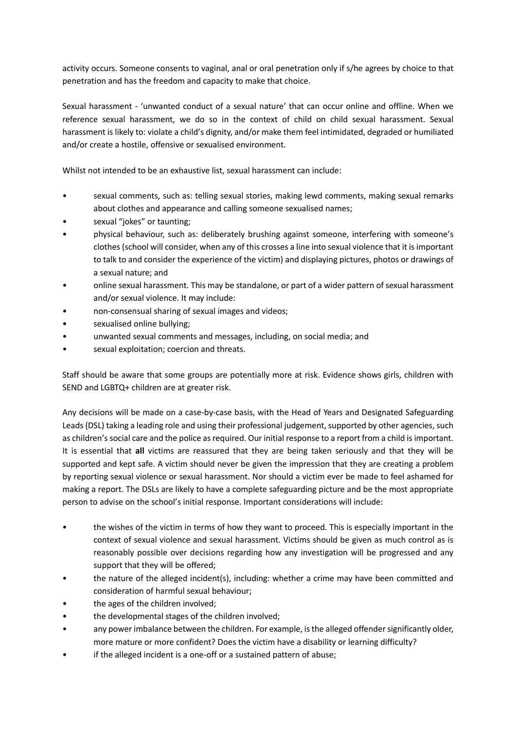activity occurs. Someone consents to vaginal, anal or oral penetration only if s/he agrees by choice to that penetration and has the freedom and capacity to make that choice.

Sexual harassment - 'unwanted conduct of a sexual nature' that can occur online and offline. When we reference sexual harassment, we do so in the context of child on child sexual harassment. Sexual harassment is likely to: violate a child's dignity, and/or make them feel intimidated, degraded or humiliated and/or create a hostile, offensive or sexualised environment.

Whilst not intended to be an exhaustive list, sexual harassment can include:

- sexual comments, such as: telling sexual stories, making lewd comments, making sexual remarks about clothes and appearance and calling someone sexualised names;
- sexual "jokes" or taunting;
- physical behaviour, such as: deliberately brushing against someone, interfering with someone's clothes (school will consider, when any of this crosses a line into sexual violence that it is important to talk to and consider the experience of the victim) and displaying pictures, photos or drawings of a sexual nature; and
- online sexual harassment. This may be standalone, or part of a wider pattern of sexual harassment and/or sexual violence. It may include:
- non-consensual sharing of sexual images and videos;
- sexualised online bullying;
- unwanted sexual comments and messages, including, on social media; and
- sexual exploitation; coercion and threats.

Staff should be aware that some groups are potentially more at risk. Evidence shows girls, children with SEND and LGBTQ+ children are at greater risk.

Any decisions will be made on a case-by-case basis, with the Head of Years and Designated Safeguarding Leads (DSL) taking a leading role and using their professional judgement, supported by other agencies, such as children's social care and the police as required. Our initial response to a report from a child is important. It is essential that **all** victims are reassured that they are being taken seriously and that they will be supported and kept safe. A victim should never be given the impression that they are creating a problem by reporting sexual violence or sexual harassment. Nor should a victim ever be made to feel ashamed for making a report. The DSLs are likely to have a complete safeguarding picture and be the most appropriate person to advise on the school's initial response. Important considerations will include:

- the wishes of the victim in terms of how they want to proceed. This is especially important in the context of sexual violence and sexual harassment. Victims should be given as much control as is reasonably possible over decisions regarding how any investigation will be progressed and any support that they will be offered;
- the nature of the alleged incident(s), including: whether a crime may have been committed and consideration of harmful sexual behaviour;
- the ages of the children involved;
- the developmental stages of the children involved;
- any power imbalance between the children. For example, is the alleged offender significantly older, more mature or more confident? Does the victim have a disability or learning difficulty?
- if the alleged incident is a one-off or a sustained pattern of abuse;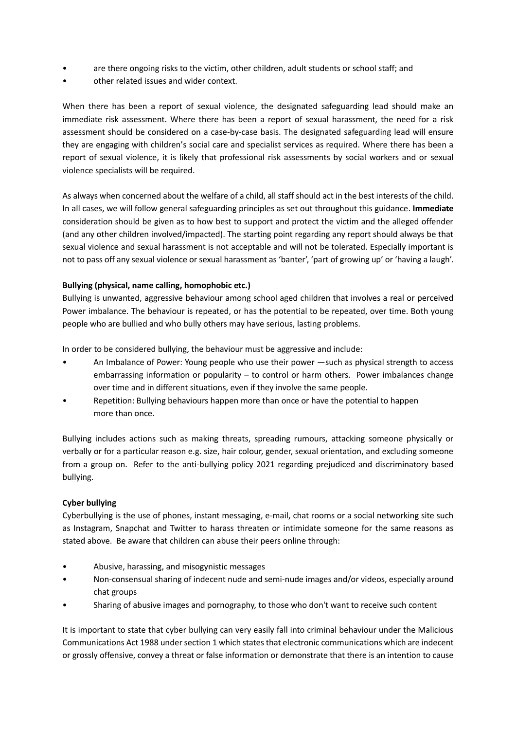- are there ongoing risks to the victim, other children, adult students or school staff; and
- other related issues and wider context.

When there has been a report of sexual violence, the designated safeguarding lead should make an immediate risk assessment. Where there has been a report of sexual harassment, the need for a risk assessment should be considered on a case-by-case basis. The designated safeguarding lead will ensure they are engaging with children's social care and specialist services as required. Where there has been a report of sexual violence, it is likely that professional risk assessments by social workers and or sexual violence specialists will be required.

As always when concerned about the welfare of a child, all staff should act in the best interests of the child. In all cases, we will follow general safeguarding principles as set out throughout this guidance. **Immediate** consideration should be given as to how best to support and protect the victim and the alleged offender (and any other children involved/impacted). The starting point regarding any report should always be that sexual violence and sexual harassment is not acceptable and will not be tolerated. Especially important is not to pass off any sexual violence or sexual harassment as 'banter', 'part of growing up' or 'having a laugh'.

# **Bullying (physical, name calling, homophobic etc.)**

Bullying is unwanted, aggressive behaviour among school aged children that involves a real or perceived Power imbalance. The behaviour is repeated, or has the potential to be repeated, over time. Both young people who are bullied and who bully others may have serious, lasting problems.

In order to be considered bullying, the behaviour must be aggressive and include:

- An Imbalance of Power: Young people who use their power —such as physical strength to access embarrassing information or popularity – to control or harm others. Power imbalances change over time and in different situations, even if they involve the same people.
- Repetition: Bullying behaviours happen more than once or have the potential to happen more than once.

Bullying includes actions such as making threats, spreading rumours, attacking someone physically or verbally or for a particular reason e.g. size, hair colour, gender, sexual orientation, and excluding someone from a group on. Refer to the anti-bullying policy 2021 regarding prejudiced and discriminatory based bullying.

# **Cyber bullying**

Cyberbullying is the use of phones, instant messaging, e-mail, chat rooms or a social networking site such as Instagram, Snapchat and Twitter to harass threaten or intimidate someone for the same reasons as stated above. Be aware that children can abuse their peers online through:

- Abusive, harassing, and misogynistic messages
- Non-consensual sharing of indecent nude and semi-nude images and/or videos, especially around chat groups
- Sharing of abusive images and pornography, to those who don't want to receive such content

It is important to state that cyber bullying can very easily fall into criminal behaviour under the Malicious Communications Act 1988 under section 1 which states that electronic communications which are indecent or grossly offensive, convey a threat or false information or demonstrate that there is an intention to cause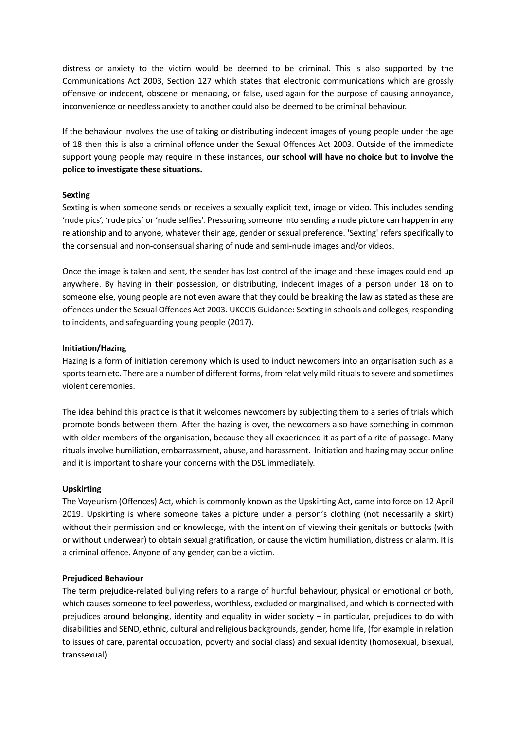distress or anxiety to the victim would be deemed to be criminal. This is also supported by the Communications Act 2003, Section 127 which states that electronic communications which are grossly offensive or indecent, obscene or menacing, or false, used again for the purpose of causing annoyance, inconvenience or needless anxiety to another could also be deemed to be criminal behaviour.

If the behaviour involves the use of taking or distributing indecent images of young people under the age of 18 then this is also a criminal offence under the Sexual Offences Act 2003. Outside of the immediate support young people may require in these instances, **our school will have no choice but to involve the police to investigate these situations.**

#### **Sexting**

Sexting is when someone sends or receives a sexually explicit text, image or video. This includes sending 'nude pics', 'rude pics' or 'nude selfies'. Pressuring someone into sending a nude picture can happen in any relationship and to anyone, whatever their age, gender or sexual preference. 'Sexting' refers specifically to the consensual and non-consensual sharing of nude and semi-nude images and/or videos.

Once the image is taken and sent, the sender has lost control of the image and these images could end up anywhere. By having in their possession, or distributing, indecent images of a person under 18 on to someone else, young people are not even aware that they could be breaking the law as stated as these are offences under the Sexual Offences Act 2003. UKCCIS Guidance: Sexting in schools and colleges, responding to incidents, and safeguarding young people (2017).

#### **Initiation/Hazing**

Hazing is a form of initiation ceremony which is used to induct newcomers into an organisation such as a sports team etc. There are a number of different forms, from relatively mild rituals to severe and sometimes violent ceremonies.

The idea behind this practice is that it welcomes newcomers by subjecting them to a series of trials which promote bonds between them. After the hazing is over, the newcomers also have something in common with older members of the organisation, because they all experienced it as part of a rite of passage. Many rituals involve humiliation, embarrassment, abuse, and harassment. Initiation and hazing may occur online and it is important to share your concerns with the DSL immediately.

#### **Upskirting**

The Voyeurism (Offences) Act, which is commonly known as the Upskirting Act, came into force on 12 April 2019. Upskirting is where someone takes a picture under a person's clothing (not necessarily a skirt) without their permission and or knowledge, with the intention of viewing their genitals or buttocks (with or without underwear) to obtain sexual gratification, or cause the victim humiliation, distress or alarm. It is a criminal offence. Anyone of any gender, can be a victim.

#### **Prejudiced Behaviour**

The term prejudice-related bullying refers to a range of hurtful behaviour, physical or emotional or both, which causes someone to feel powerless, worthless, excluded or marginalised, and which is connected with prejudices around belonging, identity and equality in wider society – in particular, prejudices to do with disabilities and SEND, ethnic, cultural and religious backgrounds, gender, home life, (for example in relation to issues of care, parental occupation, poverty and social class) and sexual identity (homosexual, bisexual, transsexual).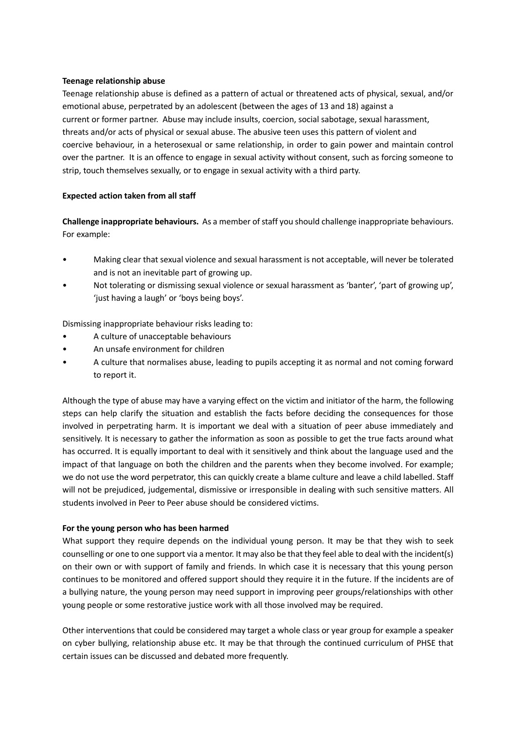#### **Teenage relationship abuse**

Teenage relationship abuse is defined as a pattern of actual or threatened acts of physical, sexual, and/or emotional abuse, perpetrated by an adolescent (between the ages of 13 and 18) against a current or former partner. Abuse may include insults, coercion, social sabotage, sexual harassment, threats and/or acts of physical or sexual abuse. The abusive teen uses this pattern of violent and coercive behaviour, in a heterosexual or same relationship, in order to gain power and maintain control over the partner. It is an offence to engage in sexual activity without consent, such as forcing someone to strip, touch themselves sexually, or to engage in sexual activity with a third party.

# **Expected action taken from all staff**

**Challenge inappropriate behaviours.** As a member of staff you should challenge inappropriate behaviours. For example:

- Making clear that sexual violence and sexual harassment is not acceptable, will never be tolerated and is not an inevitable part of growing up.
- Not tolerating or dismissing sexual violence or sexual harassment as 'banter', 'part of growing up', 'just having a laugh' or 'boys being boys'.

Dismissing inappropriate behaviour risks leading to:

- A culture of unacceptable behaviours
- An unsafe environment for children
- A culture that normalises abuse, leading to pupils accepting it as normal and not coming forward to report it.

Although the type of abuse may have a varying effect on the victim and initiator of the harm, the following steps can help clarify the situation and establish the facts before deciding the consequences for those involved in perpetrating harm. It is important we deal with a situation of peer abuse immediately and sensitively. It is necessary to gather the information as soon as possible to get the true facts around what has occurred. It is equally important to deal with it sensitively and think about the language used and the impact of that language on both the children and the parents when they become involved. For example; we do not use the word perpetrator, this can quickly create a blame culture and leave a child labelled. Staff will not be prejudiced, judgemental, dismissive or irresponsible in dealing with such sensitive matters. All students involved in Peer to Peer abuse should be considered victims.

# **For the young person who has been harmed**

What support they require depends on the individual young person. It may be that they wish to seek counselling or one to one support via a mentor. It may also be that they feel able to deal with the incident(s) on their own or with support of family and friends. In which case it is necessary that this young person continues to be monitored and offered support should they require it in the future. If the incidents are of a bullying nature, the young person may need support in improving peer groups/relationships with other young people or some restorative justice work with all those involved may be required.

Other interventions that could be considered may target a whole class or year group for example a speaker on cyber bullying, relationship abuse etc. It may be that through the continued curriculum of PHSE that certain issues can be discussed and debated more frequently.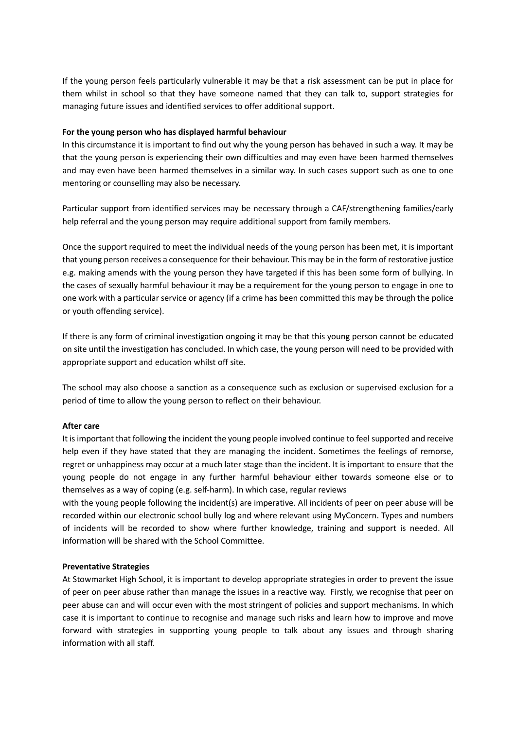If the young person feels particularly vulnerable it may be that a risk assessment can be put in place for them whilst in school so that they have someone named that they can talk to, support strategies for managing future issues and identified services to offer additional support.

#### **For the young person who has displayed harmful behaviour**

In this circumstance it is important to find out why the young person has behaved in such a way. It may be that the young person is experiencing their own difficulties and may even have been harmed themselves and may even have been harmed themselves in a similar way. In such cases support such as one to one mentoring or counselling may also be necessary.

Particular support from identified services may be necessary through a CAF/strengthening families/early help referral and the young person may require additional support from family members.

Once the support required to meet the individual needs of the young person has been met, it is important that young person receives a consequence for their behaviour. This may be in the form of restorative justice e.g. making amends with the young person they have targeted if this has been some form of bullying. In the cases of sexually harmful behaviour it may be a requirement for the young person to engage in one to one work with a particular service or agency (if a crime has been committed this may be through the police or youth offending service).

If there is any form of criminal investigation ongoing it may be that this young person cannot be educated on site until the investigation has concluded. In which case, the young person will need to be provided with appropriate support and education whilst off site.

The school may also choose a sanction as a consequence such as exclusion or supervised exclusion for a period of time to allow the young person to reflect on their behaviour.

#### **After care**

It is important that following the incident the young people involved continue to feel supported and receive help even if they have stated that they are managing the incident. Sometimes the feelings of remorse, regret or unhappiness may occur at a much later stage than the incident. It is important to ensure that the young people do not engage in any further harmful behaviour either towards someone else or to themselves as a way of coping (e.g. self-harm). In which case, regular reviews

with the young people following the incident(s) are imperative. All incidents of peer on peer abuse will be recorded within our electronic school bully log and where relevant using MyConcern. Types and numbers of incidents will be recorded to show where further knowledge, training and support is needed. All information will be shared with the School Committee.

#### **Preventative Strategies**

At Stowmarket High School, it is important to develop appropriate strategies in order to prevent the issue of peer on peer abuse rather than manage the issues in a reactive way. Firstly, we recognise that peer on peer abuse can and will occur even with the most stringent of policies and support mechanisms. In which case it is important to continue to recognise and manage such risks and learn how to improve and move forward with strategies in supporting young people to talk about any issues and through sharing information with all staff.